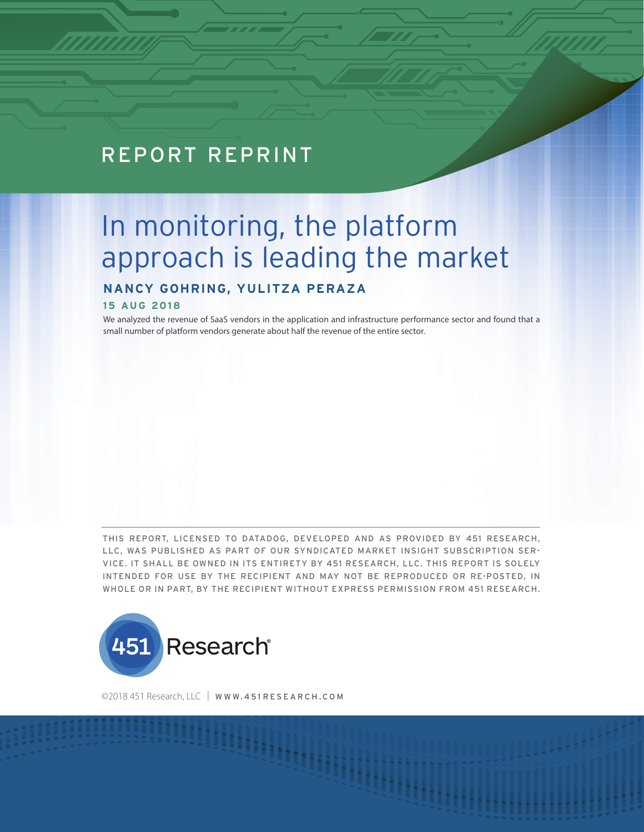## REPORT REPRINT

# In monitoring, the platform approach is leading the market

### **NANCY GOHRING, YULITZA PERAZA**

#### **15 AUG 2018**

We analyzed the revenue of SaaS vendors in the application and infrastructure performance sector and found that a small number of platform vendors generate about half the revenue of the entire sector.

THIS REPORT, LICENSED TO DATADOG, DEVELOPED AND AS PROVIDED BY 451 RESEARCH, LLC, WAS PUBLISHED AS PART OF OUR SYNDICATED MARKET INSIGHT SUBSCRIPTION SER-VICE. IT SHALL BE OWNED IN ITS ENTIRETY BY 451 RESEARCH, LLC. THIS REPORT IS SOLELY INTENDED FOR USE BY THE RECIPIENT AND MAY NOT BE REPRODUCED OR RE-POSTED, IN WHOLE OR IN PART, BY THE RECIPIENT WITHOUT EXPRESS PERMISSION FROM 451 RESEARCH.



©2018 451 Research, LLC | WWW.451 RESEARCH.COM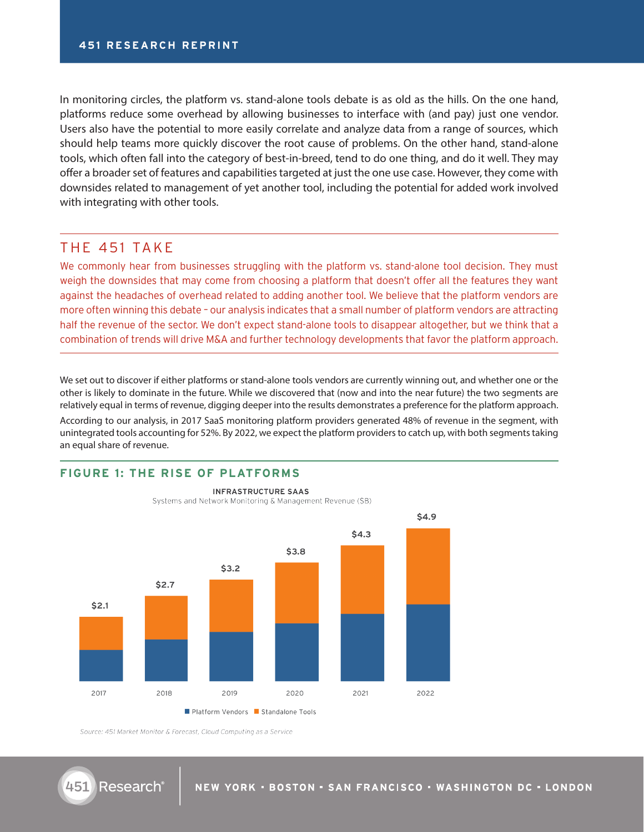In monitoring circles, the platform vs. stand-alone tools debate is as old as the hills. On the one hand, platforms reduce some overhead by allowing businesses to interface with (and pay) just one vendor. Users also have the potential to more easily correlate and analyze data from a range of sources, which should help teams more quickly discover the root cause of problems. On the other hand, stand-alone tools, which often fall into the category of best-in-breed, tend to do one thing, and do it well. They may offer a broader set of features and capabilities targeted at just the one use case. However, they come with downsides related to management of yet another tool, including the potential for added work involved with integrating with other tools.

#### THE 451 TAKE

We commonly hear from businesses struggling with the platform vs. stand-alone tool decision. They must weigh the downsides that may come from choosing a platform that doesn't offer all the features they want against the headaches of overhead related to adding another tool. We believe that the platform vendors are more often winning this debate – our analysis indicates that a small number of platform vendors are attracting half the revenue of the sector. We don't expect stand-alone tools to disappear altogether, but we think that a combination of trends will drive M&A and further technology developments that favor the platform approach.

We set out to discover if either platforms or stand-alone tools vendors are currently winning out, and whether one or the other is likely to dominate in the future. While we discovered that (now and into the near future) the two segments are relatively equal in terms of revenue, digging deeper into the results demonstrates a preference for the platform approach.

According to our analysis, in 2017 SaaS monitoring platform providers generated 48% of revenue in the segment, with unintegrated tools accounting for 52%. By 2022, we expect the platform providers to catch up, with both segments taking an equal share of revenue.

#### **FIGURE 1: THE RISE OF PLATFORMS**



**INFRASTRUCTURE SAAS** Systems and Network Monitoring & Management Revenue (\$B)

Source: 451 Market Monitor & Forecast, Cloud Computing as a Service

451

Research®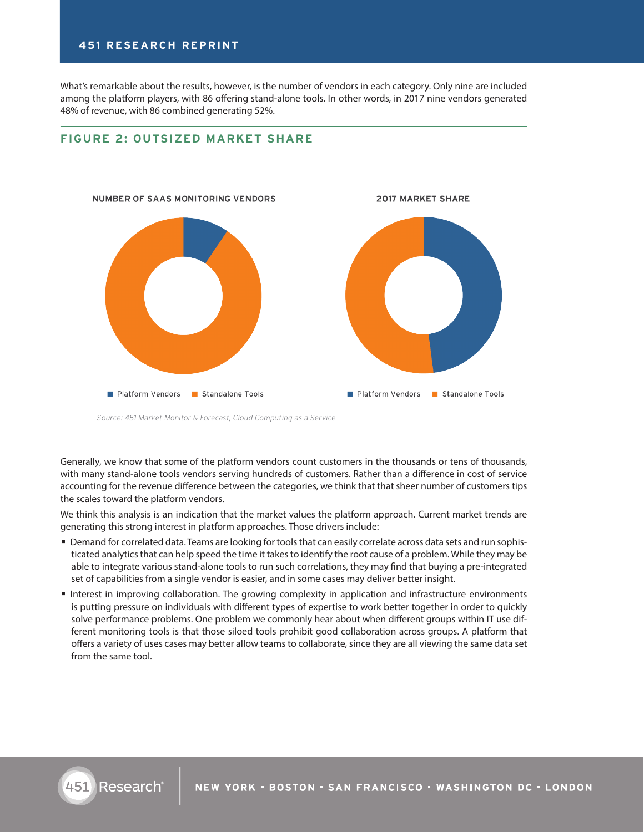#### **451 RESEARCH REPRINT**

What's remarkable about the results, however, is the number of vendors in each category. Only nine are included among the platform players, with 86 offering stand-alone tools. In other words, in 2017 nine vendors generated 48% of revenue, with 86 combined generating 52%.

#### **FIGURE 2: OUTSIZED MARKET SHARE**



Source: 451 Market Monitor & Forecast, Cloud Computing as a Service

Generally, we know that some of the platform vendors count customers in the thousands or tens of thousands, with many stand-alone tools vendors serving hundreds of customers. Rather than a difference in cost of service accounting for the revenue difference between the categories, we think that that sheer number of customers tips the scales toward the platform vendors.

We think this analysis is an indication that the market values the platform approach. Current market trends are generating this strong interest in platform approaches. Those drivers include:

- Demand for correlated data. Teams are looking for tools that can easily correlate across data sets and run sophisticated analytics that can help speed the time it takes to identify the root cause of a problem. While they may be able to integrate various stand-alone tools to run such correlations, they may find that buying a pre-integrated set of capabilities from a single vendor is easier, and in some cases may deliver better insight.
- Interest in improving collaboration. The growing complexity in application and infrastructure environments is putting pressure on individuals with different types of expertise to work better together in order to quickly solve performance problems. One problem we commonly hear about when different groups within IT use different monitoring tools is that those siloed tools prohibit good collaboration across groups. A platform that offers a variety of uses cases may better allow teams to collaborate, since they are all viewing the same data set from the same tool.